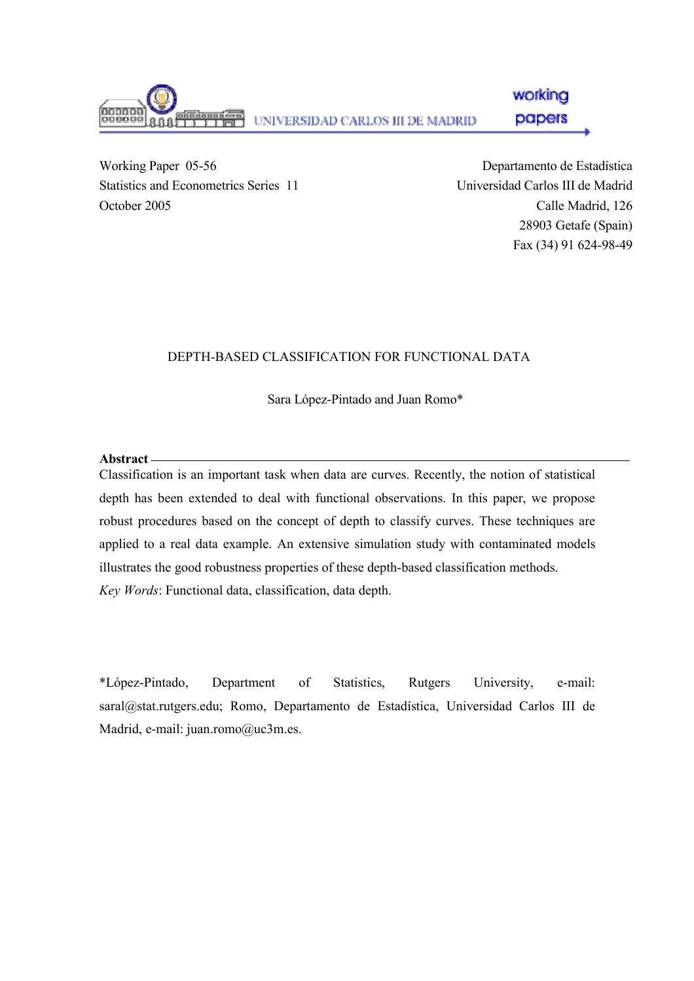

Working Paper 05-56 Statistics and Econometrics Series 11 October 2005

Departamento de Estadística Universidad Carlos III de Madrid Calle Madrid, 126 28903 Getafe (Spain) Fax (34) 91 624-98-49

# DEPTH-BASED CLASSIFICATION FOR FUNCTIONAL DATA

Sara López-Pintado and Juan Romo\*

## **Abstract**

Classification is an important task when data are curves. Recently, the notion of statistical depth has been extended to deal with functional observations. In this paper, we propose robust procedures based on the concept of depth to classify curves. These techniques are applied to a real data example. An extensive simulation study with contaminated models illustrates the good robustness properties of these depth-based classification methods. *Key Words*: Functional data, classification, data depth.

\*López-Pintado, Department of Statistics, Rutgers University, e-mail: saral@stat.rutgers.edu; Romo, Departamento de Estadística, Universidad Carlos III de Madrid, e-mail: juan.romo@uc3m.es.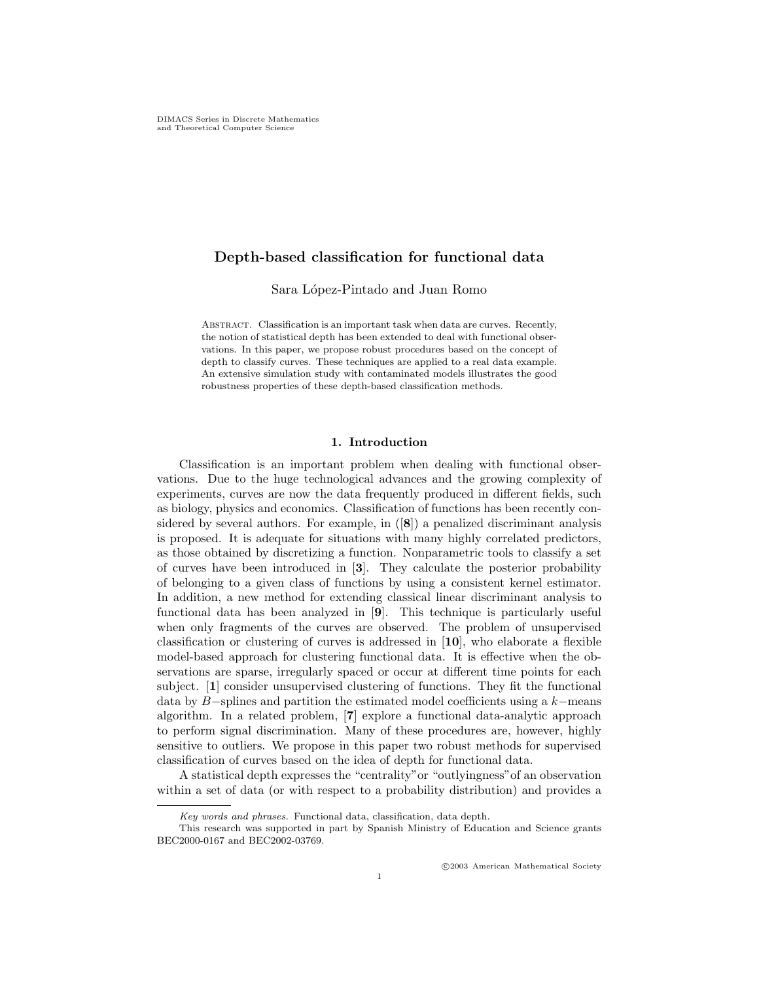### Depth-based classification for functional data

Sara López-Pintado and Juan Romo

Abstract. Classification is an important task when data are curves. Recently, the notion of statistical depth has been extended to deal with functional observations. In this paper, we propose robust procedures based on the concept of depth to classify curves. These techniques are applied to a real data example. An extensive simulation study with contaminated models illustrates the good robustness properties of these depth-based classification methods.

#### 1. Introduction

Classification is an important problem when dealing with functional observations. Due to the huge technological advances and the growing complexity of experiments, curves are now the data frequently produced in different fields, such as biology, physics and economics. Classification of functions has been recently considered by several authors. For example, in ([8]) a penalized discriminant analysis is proposed. It is adequate for situations with many highly correlated predictors, as those obtained by discretizing a function. Nonparametric tools to classify a set of curves have been introduced in [3]. They calculate the posterior probability of belonging to a given class of functions by using a consistent kernel estimator. In addition, a new method for extending classical linear discriminant analysis to functional data has been analyzed in [9]. This technique is particularly useful when only fragments of the curves are observed. The problem of unsupervised classification or clustering of curves is addressed in  $[10]$ , who elaborate a flexible model-based approach for clustering functional data. It is effective when the observations are sparse, irregularly spaced or occur at different time points for each subject. [1] consider unsupervised clustering of functions. They fit the functional data by B−splines and partition the estimated model coefficients using a k−means algorithm. In a related problem, [7] explore a functional data-analytic approach to perform signal discrimination. Many of these procedures are, however, highly sensitive to outliers. We propose in this paper two robust methods for supervised classification of curves based on the idea of depth for functional data.

A statistical depth expresses the "centrality"or "outlyingness"of an observation within a set of data (or with respect to a probability distribution) and provides a

Key words and phrases. Functional data, classification, data depth.

This research was supported in part by Spanish Ministry of Education and Science grants BEC2000-0167 and BEC2002-03769.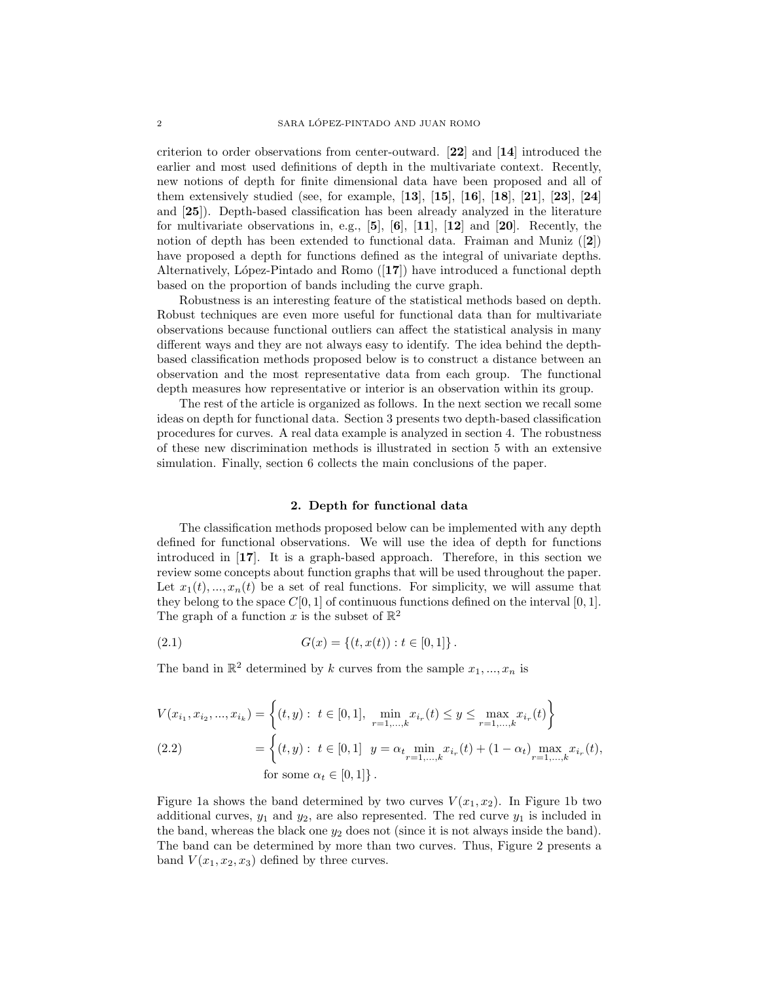criterion to order observations from center-outward. [22] and [14] introduced the earlier and most used definitions of depth in the multivariate context. Recently, new notions of depth for finite dimensional data have been proposed and all of them extensively studied (see, for example, [13], [15], [16], [18], [21], [23], [24] and [25]). Depth-based classification has been already analyzed in the literature for multivariate observations in, e.g.,  $[5]$ ,  $[6]$ ,  $[11]$ ,  $[12]$  and  $[20]$ . Recently, the notion of depth has been extended to functional data. Fraiman and Muniz  $(|2|)$ have proposed a depth for functions defined as the integral of univariate depths. Alternatively, López-Pintado and Romo  $([17])$  have introduced a functional depth based on the proportion of bands including the curve graph.

Robustness is an interesting feature of the statistical methods based on depth. Robust techniques are even more useful for functional data than for multivariate observations because functional outliers can affect the statistical analysis in many different ways and they are not always easy to identify. The idea behind the depthbased classification methods proposed below is to construct a distance between an observation and the most representative data from each group. The functional depth measures how representative or interior is an observation within its group.

The rest of the article is organized as follows. In the next section we recall some ideas on depth for functional data. Section 3 presents two depth-based classification procedures for curves. A real data example is analyzed in section 4. The robustness of these new discrimination methods is illustrated in section 5 with an extensive simulation. Finally, section 6 collects the main conclusions of the paper.

#### 2. Depth for functional data

The classification methods proposed below can be implemented with any depth defined for functional observations. We will use the idea of depth for functions introduced in [17]. It is a graph-based approach. Therefore, in this section we review some concepts about function graphs that will be used throughout the paper. Let  $x_1(t),...,x_n(t)$  be a set of real functions. For simplicity, we will assume that they belong to the space  $C[0, 1]$  of continuous functions defined on the interval  $[0, 1]$ . The graph of a function x is the subset of  $\mathbb{R}^2$ 

(2.1) 
$$
G(x) = \{(t, x(t)) : t \in [0, 1]\}.
$$

The band in  $\mathbb{R}^2$  determined by k curves from the sample  $x_1, ..., x_n$  is

$$
V(x_{i_1}, x_{i_2}, ..., x_{i_k}) = \left\{ (t, y) : t \in [0, 1], \min_{r=1, ..., k} x_{i_r}(t) \le y \le \max_{r=1, ..., k} x_{i_r}(t) \right\}
$$
  
(2.2)  

$$
= \left\{ (t, y) : t \in [0, 1] \ y = \alpha_{t} \min_{r=1, ..., k} x_{i_r}(t) + (1 - \alpha_t) \max_{r=1, ..., k} x_{i_r}(t), \text{for some } \alpha_t \in [0, 1] \right\}.
$$

Figure 1a shows the band determined by two curves  $V(x_1, x_2)$ . In Figure 1b two additional curves,  $y_1$  and  $y_2$ , are also represented. The red curve  $y_1$  is included in the band, whereas the black one  $y_2$  does not (since it is not always inside the band). The band can be determined by more than two curves. Thus, Figure 2 presents a band  $V(x_1, x_2, x_3)$  defined by three curves.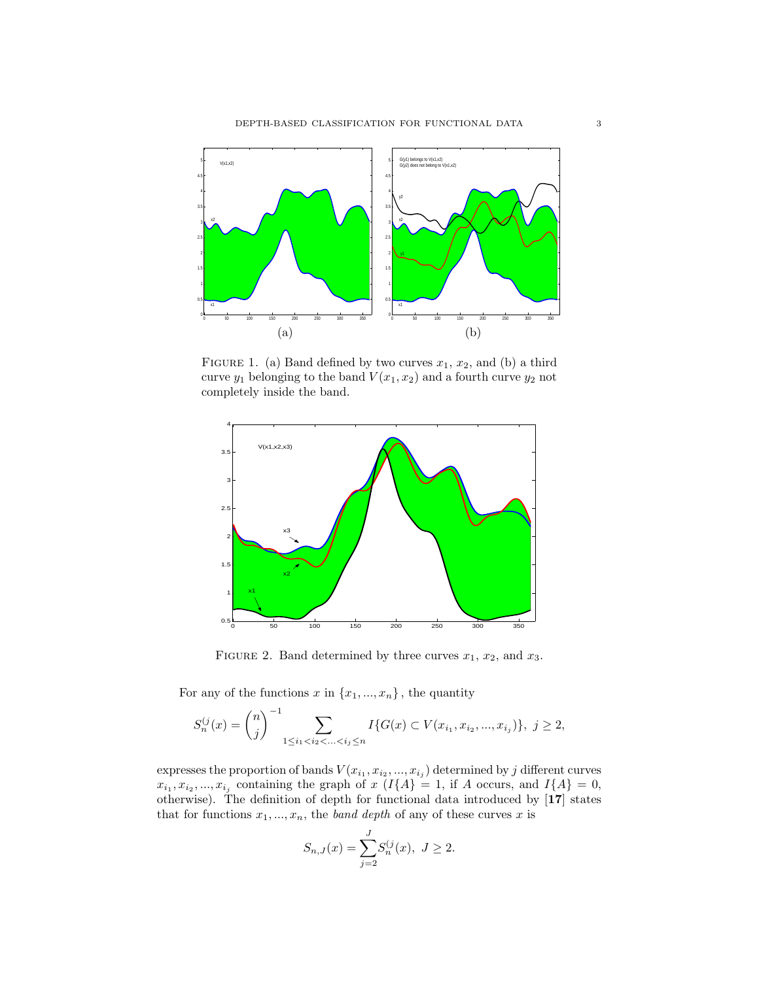

FIGURE 1. (a) Band defined by two curves  $x_1, x_2$ , and (b) a third curve  $y_1$  belonging to the band  $V(x_1, x_2)$  and a fourth curve  $y_2$  not completely inside the band.



FIGURE 2. Band determined by three curves  $x_1$ ,  $x_2$ , and  $x_3$ .

For any of the functions  $x$  in  $\{x_1, ..., x_n\}$ , the quantity

$$
S_n^{(j)}(x) = {n \choose j}^{-1} \sum_{1 \le i_1 < i_2 < \ldots < i_j \le n} I\{G(x) \subset V(x_{i_1}, x_{i_2}, \ldots, x_{i_j})\}, \ j \ge 2,
$$

expresses the proportion of bands  $V(x_{i_1}, x_{i_2}, ..., x_{i_j})$  determined by j different curves  $x_{i_1}, x_{i_2},..., x_{i_j}$  containing the graph of  $x$  ( $I{A} = 1$ , if A occurs, and  $I{A} = 0$ , otherwise). The definition of depth for functional data introduced by [17] states that for functions  $x_1, ..., x_n$ , the band depth of any of these curves x is

$$
S_{n,J}(x) = \sum_{j=2}^{J} S_n^{(j)}(x), \ J \ge 2.
$$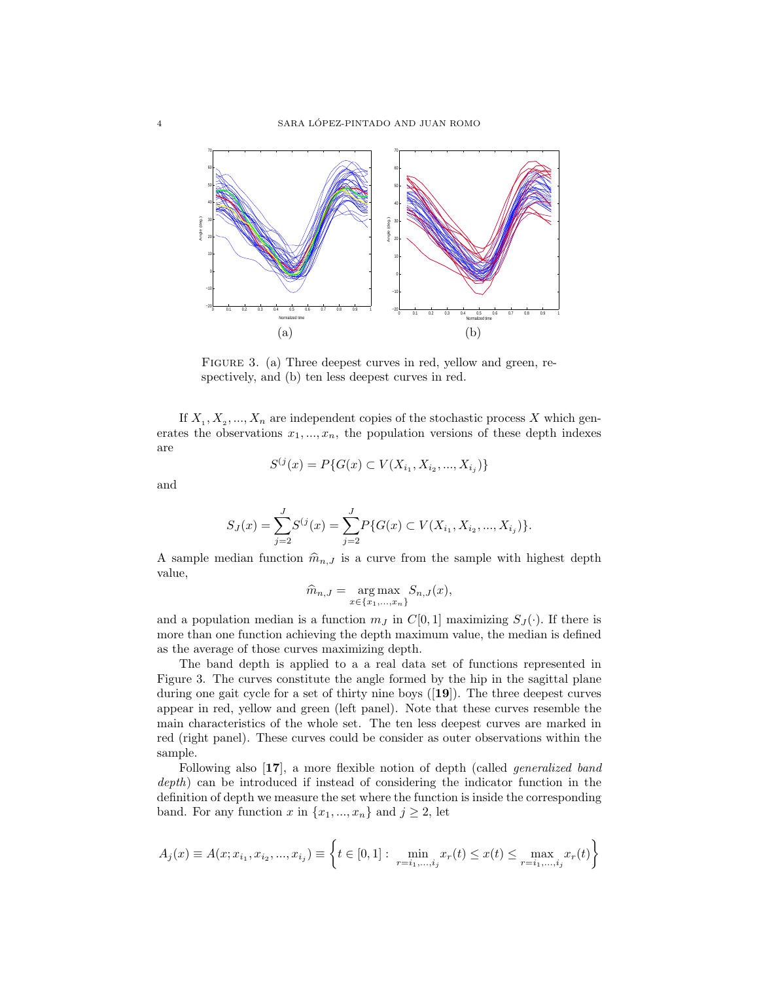

FIGURE 3. (a) Three deepest curves in red, yellow and green, respectively, and (b) ten less deepest curves in red.

If  $X_1, X_2, ..., X_n$  are independent copies of the stochastic process X which generates the observations  $x_1, ..., x_n$ , the population versions of these depth indexes are

$$
S^{(j}(x) = P\{G(x) \subset V(X_{i_1}, X_{i_2}, ..., X_{i_j})\}
$$

and

$$
S_J(x) = \sum_{j=2}^{J} S^{(j)}(x) = \sum_{j=2}^{J} P\{G(x) \subset V(X_{i_1}, X_{i_2}, ..., X_{i_j})\}.
$$

A sample median function  $\hat{m}_{n,J}$  is a curve from the sample with highest depth value,

$$
\widehat{m}_{n,J} = \underset{x \in \{x_1, \ldots, x_n\}}{\arg \max} S_{n,J}(x),
$$

and a population median is a function  $m_J$  in  $C[0, 1]$  maximizing  $S_J(\cdot)$ . If there is more than one function achieving the depth maximum value, the median is defined as the average of those curves maximizing depth.

The band depth is applied to a a real data set of functions represented in Figure 3. The curves constitute the angle formed by the hip in the sagittal plane during one gait cycle for a set of thirty nine boys ([19]). The three deepest curves appear in red, yellow and green (left panel). Note that these curves resemble the main characteristics of the whole set. The ten less deepest curves are marked in red (right panel). These curves could be consider as outer observations within the sample.

Following also [17], a more flexible notion of depth (called *generalized band* depth) can be introduced if instead of considering the indicator function in the definition of depth we measure the set where the function is inside the corresponding band. For any function x in  $\{x_1, ..., x_n\}$  and  $j \geq 2$ , let

$$
A_j(x) \equiv A(x; x_{i_1}, x_{i_2}, \dots, x_{i_j}) \equiv \left\{ t \in [0, 1] : \min_{r=i_1, \dots, i_j} x_r(t) \le x(t) \le \max_{r=i_1, \dots, i_j} x_r(t) \right\}
$$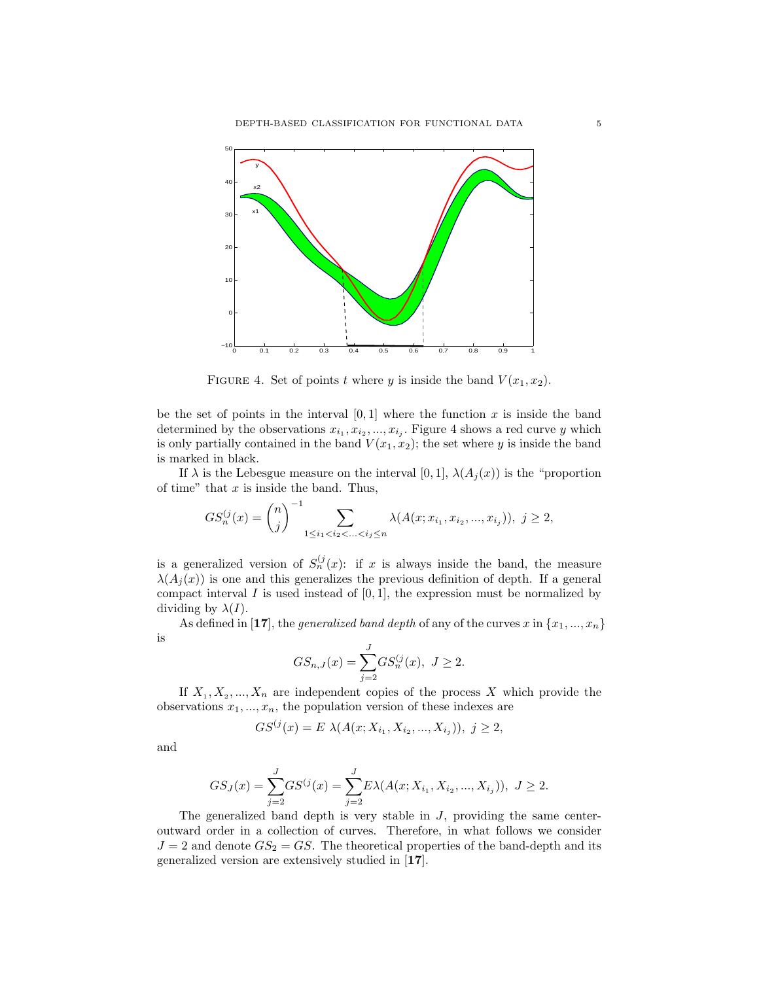

FIGURE 4. Set of points t where y is inside the band  $V(x_1, x_2)$ .

be the set of points in the interval  $[0, 1]$  where the function x is inside the band determined by the observations  $x_{i_1}, x_{i_2}, ..., x_{i_j}$ . Figure 4 shows a red curve y which is only partially contained in the band  $V(x_1, x_2)$ ; the set where y is inside the band is marked in black.

If  $\lambda$  is the Lebesgue measure on the interval [0, 1],  $\lambda(A_i(x))$  is the "proportion of time" that  $x$  is inside the band. Thus,

$$
GS_n^{(j)}(x) = {n \choose j}^{-1} \sum_{1 \le i_1 < i_2 < \ldots < i_j \le n} \lambda(A(x; x_{i_1}, x_{i_2}, \ldots, x_{i_j})), \ j \ge 2,
$$

is a generalized version of  $S_n^{(j)}(x)$ : if x is always inside the band, the measure  $\lambda(A_i(x))$  is one and this generalizes the previous definition of depth. If a general compact interval  $I$  is used instead of  $[0, 1]$ , the expression must be normalized by dividing by  $\lambda(I)$ .

As defined in [17], the *generalized band depth* of any of the curves x in  $\{x_1, ..., x_n\}$ is

$$
GS_{n,J}(x) = \sum_{j=2}^{J} GS_n^{(j)}(x), J \ge 2.
$$

If  $X_1, X_2, ..., X_n$  are independent copies of the process X which provide the observations  $x_1, ..., x_n$ , the population version of these indexes are

$$
GS^{(j)}(x) = E \ \lambda(A(x; X_{i_1}, X_{i_2}, ..., X_{i_j})), \ j \ge 2,
$$

and

$$
GS_J(x) = \sum_{j=2}^{J} GS^{(j)}(x) = \sum_{j=2}^{J} E\lambda(A(x; X_{i_1}, X_{i_2}, ..., X_{i_j})), J \ge 2.
$$

The generalized band depth is very stable in  $J$ , providing the same centeroutward order in a collection of curves. Therefore, in what follows we consider  $J = 2$  and denote  $GS_2 = GS$ . The theoretical properties of the band-depth and its generalized version are extensively studied in [17].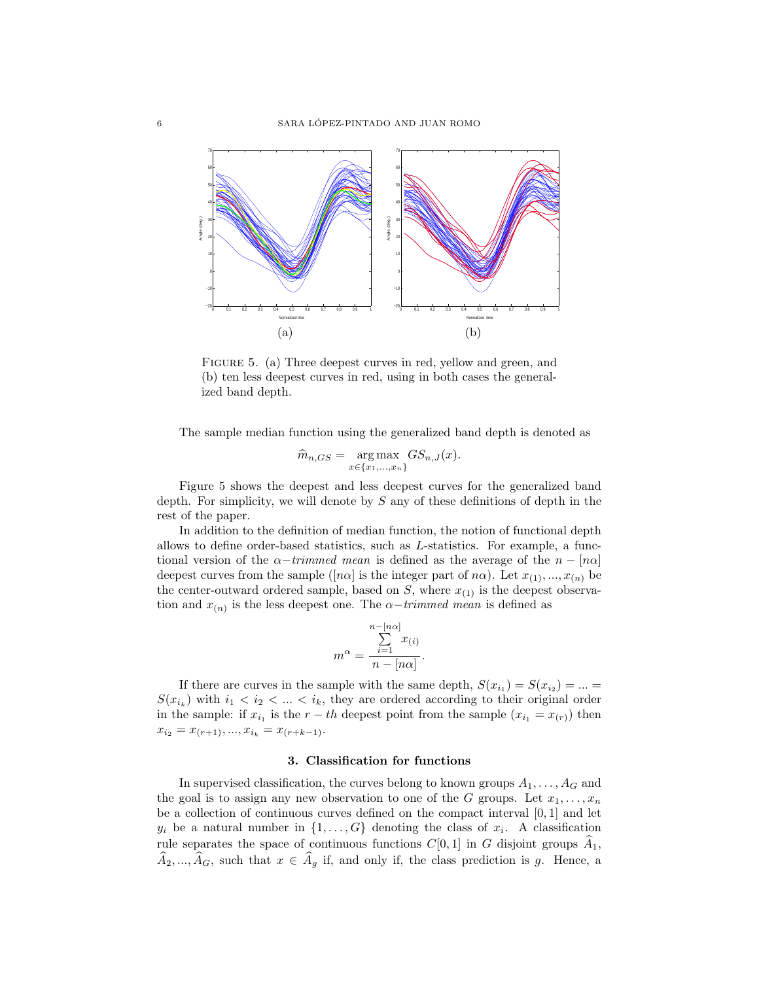

FIGURE 5. (a) Three deepest curves in red, yellow and green, and (b) ten less deepest curves in red, using in both cases the generalized band depth.

The sample median function using the generalized band depth is denoted as

$$
\widehat{m}_{n,GS} = \underset{x \in \{x_1, \ldots, x_n\}}{\arg \max} GS_{n,J}(x).
$$

Figure 5 shows the deepest and less deepest curves for the generalized band depth. For simplicity, we will denote by S any of these definitions of depth in the rest of the paper.

In addition to the definition of median function, the notion of functional depth allows to define order-based statistics, such as L-statistics. For example, a functional version of the  $\alpha$ −trimmed mean is defined as the average of the  $n - [n\alpha]$ deepest curves from the sample ([na] is the integer part of na). Let  $x_{(1)},...,x_{(n)}$  be the center-outward ordered sample, based on  $S$ , where  $x_{(1)}$  is the deepest observation and  $x_{(n)}$  is the less deepest one. The  $\alpha$ -trimmed mean is defined as

$$
m^{\alpha} = \frac{\sum_{i=1}^{n-[n\alpha]} x_{(i)}}{n - [n\alpha]}.
$$

If there are curves in the sample with the same depth,  $S(x_{i_1}) = S(x_{i_2}) = ... =$  $S(x_{i_k})$  with  $i_1 < i_2 < \ldots < i_k$ , they are ordered according to their original order in the sample: if  $x_{i_1}$  is the  $r-th$  deepest point from the sample  $(x_{i_1} = x_{(r)})$  then  $x_{i_2} = x_{(r+1)},..., x_{i_k} = x_{(r+k-1)}.$ 

### 3. Classification for functions

In supervised classification, the curves belong to known groups  $A_1, \ldots, A_G$  and the goal is to assign any new observation to one of the G groups. Let  $x_1, \ldots, x_n$ be a collection of continuous curves defined on the compact interval  $[0, 1]$  and let  $y_i$  be a natural number in  $\{1, \ldots, G\}$  denoting the class of  $x_i$ . A classification rule separates the space of continuous functions  $C[0, 1]$  in G disjoint groups  $\widehat{A}_1$ ,  $\widehat{A}_2, ..., \widehat{A}_G$ , such that  $x \in \widehat{A}_g$  if, and only if, the class prediction is g. Hence, a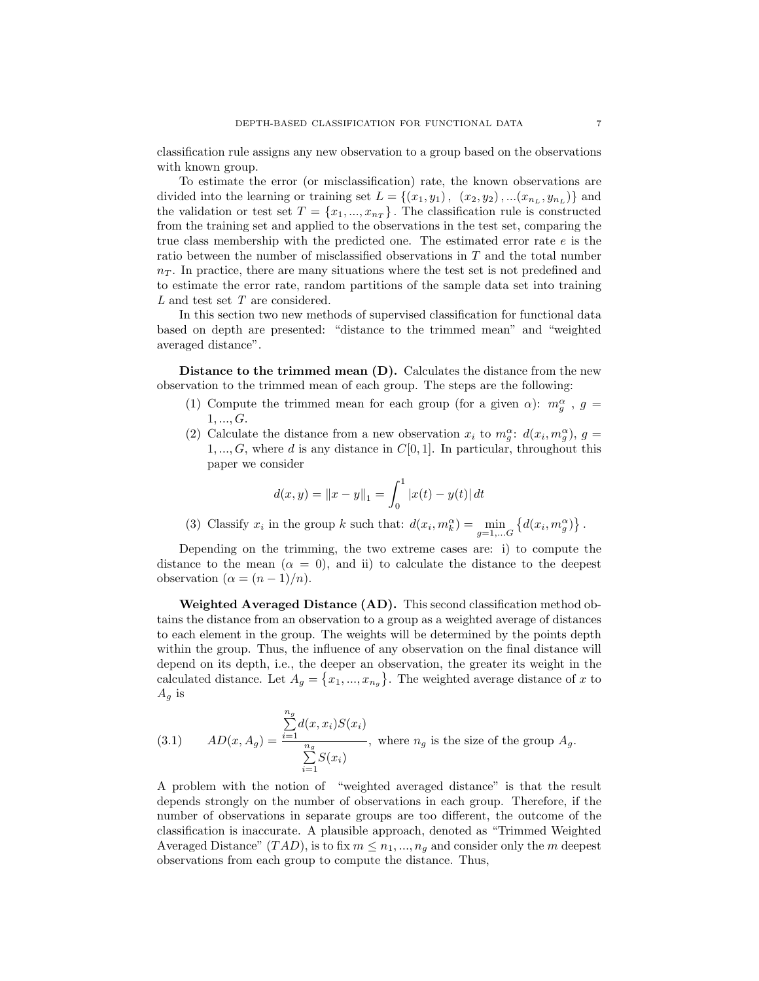classification rule assigns any new observation to a group based on the observations with known group.

To estimate the error (or misclassification) rate, the known observations are divided into the learning or training set  $L = \{(x_1, y_1), (x_2, y_2), ... (x_{n_L}, y_{n_L})\}$  and the validation or test set  $T = \{x_1, ..., x_{n_T}\}\.$  The classification rule is constructed from the training set and applied to the observations in the test set, comparing the true class membership with the predicted one. The estimated error rate  $e$  is the ratio between the number of misclassified observations in T and the total number  $n<sub>T</sub>$ . In practice, there are many situations where the test set is not predefined and to estimate the error rate, random partitions of the sample data set into training L and test set T are considered.

In this section two new methods of supervised classification for functional data based on depth are presented: "distance to the trimmed mean" and "weighted averaged distance".

Distance to the trimmed mean (D). Calculates the distance from the new observation to the trimmed mean of each group. The steps are the following:

- (1) Compute the trimmed mean for each group (for a given  $\alpha$ ):  $m_g^{\alpha}$ ,  $g =$  $1, ..., G.$
- (2) Calculate the distance from a new observation  $x_i$  to  $m_g^{\alpha}$ :  $d(x_i, m_g^{\alpha})$ ,  $g =$  $1, ..., G$ , where d is any distance in  $C[0, 1]$ . In particular, throughout this paper we consider

$$
d(x, y) = ||x - y||_1 = \int_0^1 |x(t) - y(t)| dt
$$

(3) Classify  $x_i$  in the group k such that:  $d(x_i, m_k^{\alpha}) = \min_{g=1,...,G} \{d(x_i, m_g^{\alpha})\}\.$ 

Depending on the trimming, the two extreme cases are: i) to compute the distance to the mean  $(\alpha = 0)$ , and ii) to calculate the distance to the deepest observation  $(\alpha = (n-1)/n)$ .

Weighted Averaged Distance (AD). This second classification method obtains the distance from an observation to a group as a weighted average of distances to each element in the group. The weights will be determined by the points depth within the group. Thus, the influence of any observation on the final distance will depend on its depth, i.e., the deeper an observation, the greater its weight in the calculated distance. Let  $A_g = \{x_1, ..., x_{n_g}\}.$  The weighted average distance of x to  $A_q$  is

(3.1) 
$$
AD(x, A_g) = \frac{\sum_{i=1}^{n_g} d(x, x_i) S(x_i)}{\sum_{i=1}^{n_g} S(x_i)},
$$
 where  $n_g$  is the size of the group  $A_g$ .

A problem with the notion of "weighted averaged distance" is that the result depends strongly on the number of observations in each group. Therefore, if the number of observations in separate groups are too different, the outcome of the classification is inaccurate. A plausible approach, denoted as "Trimmed Weighted Averaged Distance"  $(TAD)$ , is to fix  $m \leq n_1, ..., n_q$  and consider only the m deepest observations from each group to compute the distance. Thus,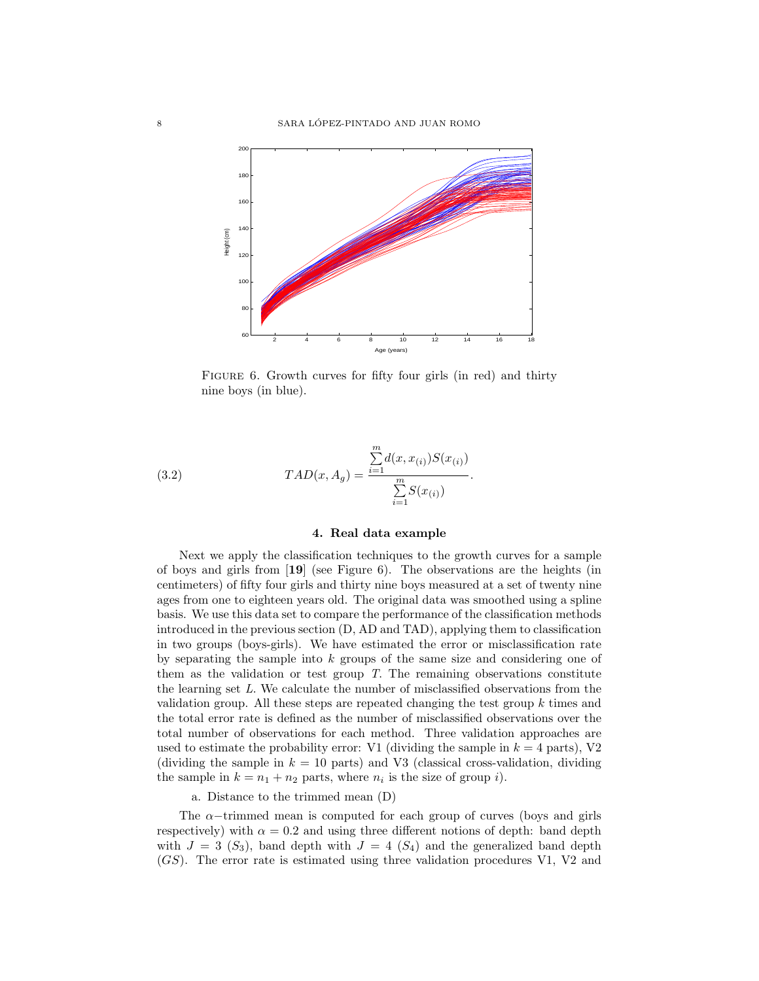

FIGURE 6. Growth curves for fifty four girls (in red) and thirty nine boys (in blue).

(3.2) 
$$
TAD(x, A_g) = \frac{\sum_{i=1}^{m} d(x, x_{(i)}) S(x_{(i)})}{\sum_{i=1}^{m} S(x_{(i)})}
$$

### 4. Real data example

.

Next we apply the classification techniques to the growth curves for a sample of boys and girls from [19] (see Figure 6). The observations are the heights (in centimeters) of fifty four girls and thirty nine boys measured at a set of twenty nine ages from one to eighteen years old. The original data was smoothed using a spline basis. We use this data set to compare the performance of the classification methods introduced in the previous section (D, AD and TAD), applying them to classification in two groups (boys-girls). We have estimated the error or misclassification rate by separating the sample into  $k$  groups of the same size and considering one of them as the validation or test group  $T$ . The remaining observations constitute the learning set L. We calculate the number of misclassified observations from the validation group. All these steps are repeated changing the test group k times and the total error rate is defined as the number of misclassified observations over the total number of observations for each method. Three validation approaches are used to estimate the probability error: V1 (dividing the sample in  $k = 4$  parts), V2 (dividing the sample in  $k = 10$  parts) and V3 (classical cross-validation, dividing the sample in  $k = n_1 + n_2$  parts, where  $n_i$  is the size of group i).

a. Distance to the trimmed mean (D)

The  $\alpha$ -trimmed mean is computed for each group of curves (boys and girls respectively) with  $\alpha = 0.2$  and using three different notions of depth: band depth with  $J = 3$  (S<sub>3</sub>), band depth with  $J = 4$  (S<sub>4</sub>) and the generalized band depth (GS). The error rate is estimated using three validation procedures V1, V2 and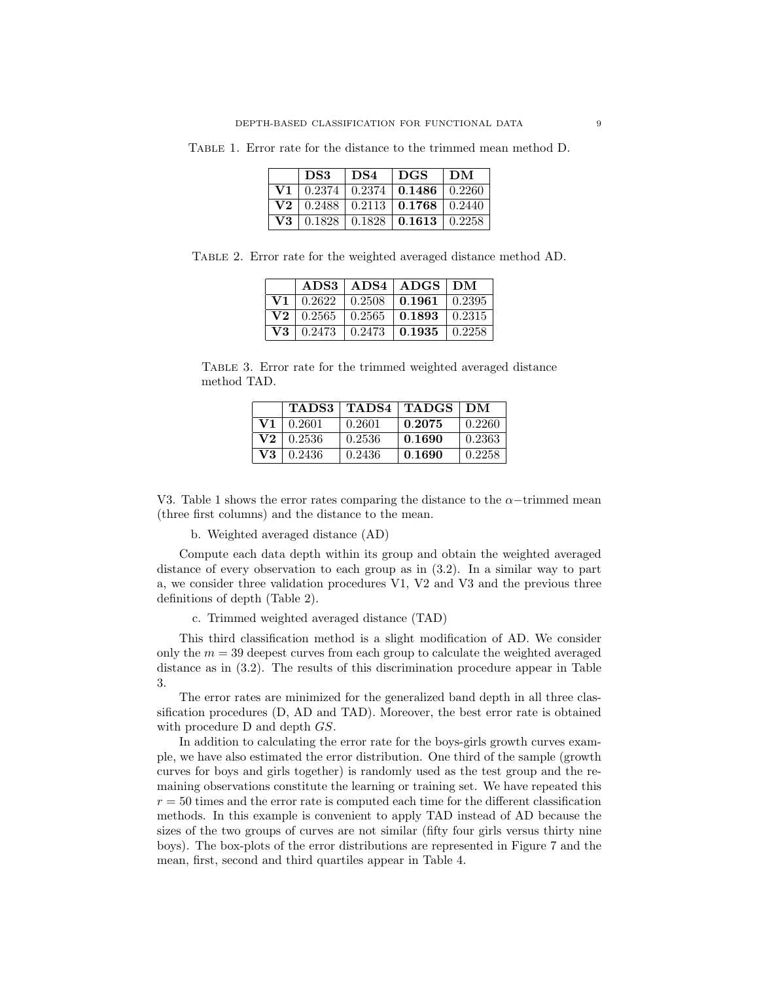Table 1. Error rate for the distance to the trimmed mean method D.

|          | DS3 | DS4 | ∣ DGS                                        | DМ |
|----------|-----|-----|----------------------------------------------|----|
| V1.      |     |     | $0.2374 \mid 0.2374 \mid 0.1486 \mid 0.2260$ |    |
| $\bf V2$ |     |     | $0.2488 \pm 0.2113 \pm 0.1768 \pm 0.2440$    |    |
| V3       |     |     | $0.1828 \pm 0.1828 \pm 0.1613 \pm 0.2258$    |    |

Table 2. Error rate for the weighted averaged distance method AD.

|    |                  |        | ADS3   ADS4   ADS4   ADS   DM |           |
|----|------------------|--------|-------------------------------|-----------|
| V1 | 0.2622           | 0.2508 | $\pm 0.1961$                  | 0.2395    |
|    | $V2 \mid 0.2565$ | 0.2565 | $\pm 0.1893$                  | 0.2315    |
| V3 | 0.2473           | 0.2473 | $\mid 0.1935 \mid$            | $+0.2258$ |

Table 3. Error rate for the trimmed weighted averaged distance method TAD.

|                           | TADS3  | <b>TADS4</b> | <b>TADGS</b> | DM     |
|---------------------------|--------|--------------|--------------|--------|
| V1                        | 0.2601 | 0.2601       | 0.2075       | 0.2260 |
| $\mathbf{V} \mathbf{2}^-$ | 0.2536 | 0.2536       | 0.1690       | 0.2363 |
| V3                        | 0.2436 | 0.2436       | 0.1690       | 0.2258 |

V3. Table 1 shows the error rates comparing the distance to the  $\alpha$ -trimmed mean (three first columns) and the distance to the mean.

b. Weighted averaged distance (AD)

Compute each data depth within its group and obtain the weighted averaged distance of every observation to each group as in (3.2). In a similar way to part a, we consider three validation procedures V1, V2 and V3 and the previous three definitions of depth (Table 2).

c. Trimmed weighted averaged distance (TAD)

This third classification method is a slight modification of AD. We consider only the  $m = 39$  deepest curves from each group to calculate the weighted averaged distance as in (3.2). The results of this discrimination procedure appear in Table 3.

The error rates are minimized for the generalized band depth in all three classification procedures (D, AD and TAD). Moreover, the best error rate is obtained with procedure D and depth  $GS$ .

In addition to calculating the error rate for the boys-girls growth curves example, we have also estimated the error distribution. One third of the sample (growth curves for boys and girls together) is randomly used as the test group and the remaining observations constitute the learning or training set. We have repeated this  $r = 50$  times and the error rate is computed each time for the different classification methods. In this example is convenient to apply TAD instead of AD because the sizes of the two groups of curves are not similar (fifty four girls versus thirty nine boys). The box-plots of the error distributions are represented in Figure 7 and the mean, first, second and third quartiles appear in Table 4.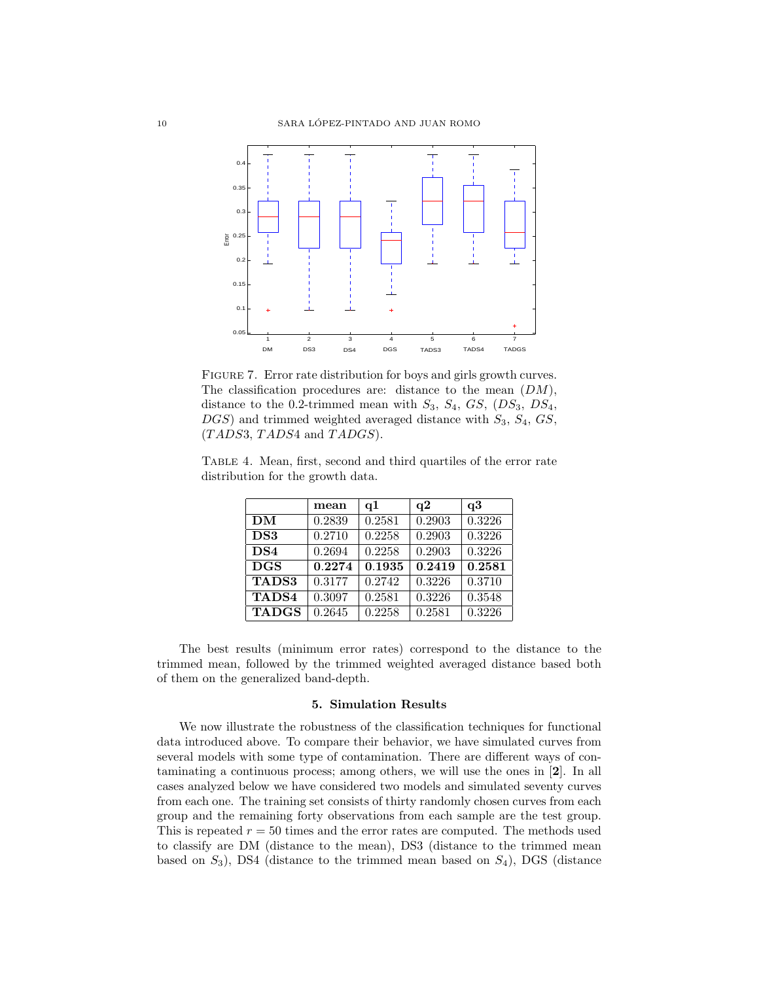

FIGURE 7. Error rate distribution for boys and girls growth curves. The classification procedures are: distance to the mean  $(DM)$ , distance to the 0.2-trimmed mean with  $S_3$ ,  $S_4$ ,  $GS$ ,  $(DS_3, DS_4,$  $DGS$ ) and trimmed weighted averaged distance with  $S_3$ ,  $S_4$ ,  $GS$ ,  $(TADS3, TADS4 \text{ and } TADOS).$ 

Table 4. Mean, first, second and third quartiles of the error rate distribution for the growth data.

|                 | mean   | q1     | q2     | q3     |
|-----------------|--------|--------|--------|--------|
| DM              | 0.2839 | 0.2581 | 0.2903 | 0.3226 |
| DS3             | 0.2710 | 0.2258 | 0.2903 | 0.3226 |
| DS <sub>4</sub> | 0.2694 | 0.2258 | 0.2903 | 0.3226 |
| <b>DGS</b>      | 0.2274 | 0.1935 | 0.2419 | 0.2581 |
| <b>TADS3</b>    | 0.3177 | 0.2742 | 0.3226 | 0.3710 |
| <b>TADS4</b>    | 0.3097 | 0.2581 | 0.3226 | 0.3548 |
| <b>TADGS</b>    | 0.2645 | 0.2258 | 0.2581 | 0.3226 |

The best results (minimum error rates) correspond to the distance to the trimmed mean, followed by the trimmed weighted averaged distance based both of them on the generalized band-depth.

#### 5. Simulation Results

We now illustrate the robustness of the classification techniques for functional data introduced above. To compare their behavior, we have simulated curves from several models with some type of contamination. There are different ways of contaminating a continuous process; among others, we will use the ones in [2]. In all cases analyzed below we have considered two models and simulated seventy curves from each one. The training set consists of thirty randomly chosen curves from each group and the remaining forty observations from each sample are the test group. This is repeated  $r = 50$  times and the error rates are computed. The methods used to classify are DM (distance to the mean), DS3 (distance to the trimmed mean based on  $S_3$ ), DS4 (distance to the trimmed mean based on  $S_4$ ), DGS (distance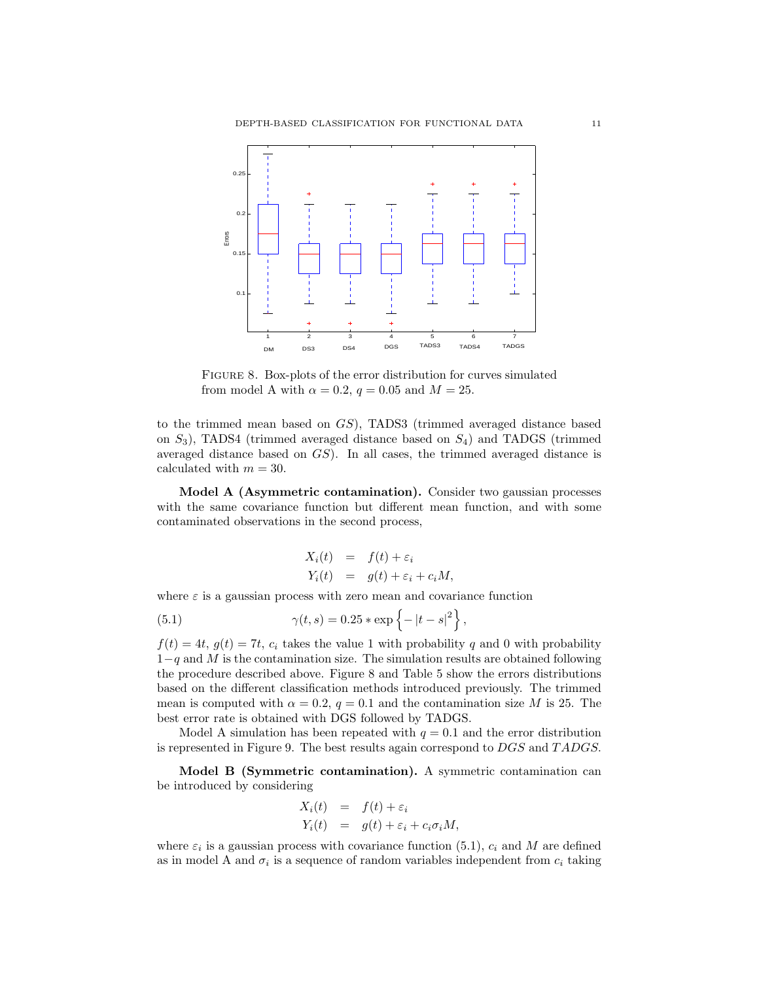

Figure 8. Box-plots of the error distribution for curves simulated from model A with  $\alpha = 0.2$ ,  $q = 0.05$  and  $M = 25$ .

to the trimmed mean based on GS), TADS3 (trimmed averaged distance based on  $S_3$ ), TADS4 (trimmed averaged distance based on  $S_4$ ) and TADGS (trimmed averaged distance based on GS). In all cases, the trimmed averaged distance is calculated with  $m = 30$ .

Model A (Asymmetric contamination). Consider two gaussian processes with the same covariance function but different mean function, and with some contaminated observations in the second process,

$$
X_i(t) = f(t) + \varepsilon_i
$$
  
\n
$$
Y_i(t) = g(t) + \varepsilon_i + c_i M,
$$

where  $\varepsilon$  is a gaussian process with zero mean and covariance function

(5.1) 
$$
\gamma(t,s) = 0.25 * \exp\{-|t-s|^2\}
$$

 $f(t) = 4t, g(t) = 7t, c<sub>i</sub>$  takes the value 1 with probability q and 0 with probability  $1-q$  and M is the contamination size. The simulation results are obtained following the procedure described above. Figure 8 and Table 5 show the errors distributions based on the different classification methods introduced previously. The trimmed mean is computed with  $\alpha = 0.2$ ,  $q = 0.1$  and the contamination size M is 25. The best error rate is obtained with DGS followed by TADGS.

,

Model A simulation has been repeated with  $q = 0.1$  and the error distribution is represented in Figure 9. The best results again correspond to DGS and TADGS.

Model B (Symmetric contamination). A symmetric contamination can be introduced by considering

$$
X_i(t) = f(t) + \varepsilon_i
$$
  
\n
$$
Y_i(t) = g(t) + \varepsilon_i + c_i \sigma_i M,
$$

where  $\varepsilon_i$  is a gaussian process with covariance function (5.1),  $c_i$  and M are defined as in model A and  $\sigma_i$  is a sequence of random variables independent from  $c_i$  taking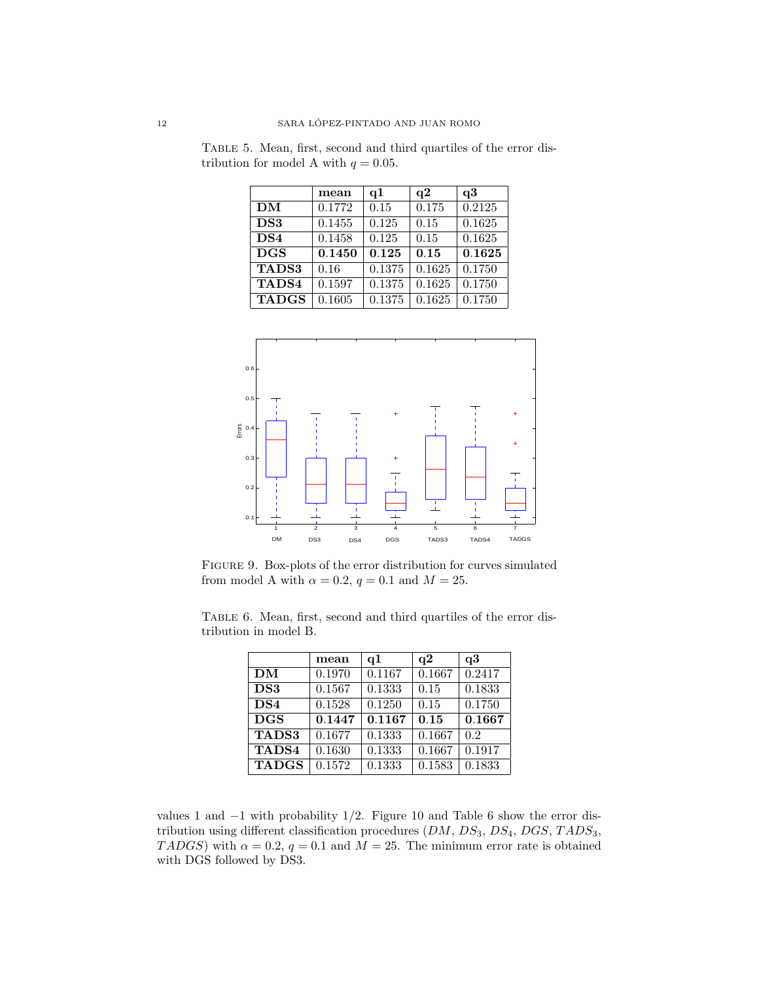|                 | mean   | q1     | q2     | q3     |
|-----------------|--------|--------|--------|--------|
| DM              | 0.1772 | 0.15   | 0.175  | 0.2125 |
| DS3             | 0.1455 | 0.125  | 0.15   | 0.1625 |
| DS <sub>4</sub> | 0.1458 | 0.125  | 0.15   | 0.1625 |
| <b>DGS</b>      | 0.1450 | 0.125  | 0.15   | 0.1625 |
| <b>TADS3</b>    | 0.16   | 0.1375 | 0.1625 | 0.1750 |
| TADS4           | 0.1597 | 0.1375 | 0.1625 | 0.1750 |
| <b>TADGS</b>    | 0.1605 | 0.1375 | 0.1625 | 0.1750 |

Table 5. Mean, first, second and third quartiles of the error distribution for model A with  $q = 0.05$ .



Figure 9. Box-plots of the error distribution for curves simulated from model A with  $\alpha = 0.2$ ,  $q = 0.1$  and  $M = 25$ .

Table 6. Mean, first, second and third quartiles of the error distribution in model B.

|                 | mean   | q1     | q2     | q3     |
|-----------------|--------|--------|--------|--------|
| DM              | 0.1970 | 0.1167 | 0.1667 | 0.2417 |
| DS3             | 0.1567 | 0.1333 | 0.15   | 0.1833 |
| DS <sub>4</sub> | 0.1528 | 0.1250 | 0.15   | 0.1750 |
| <b>DGS</b>      | 0.1447 | 0.1167 | 0.15   | 0.1667 |
| <b>TADS3</b>    | 0.1677 | 0.1333 | 0.1667 | 0.2    |
| TADS4           | 0.1630 | 0.1333 | 0.1667 | 0.1917 |
| <b>TADGS</b>    | 0.1572 | 0.1333 | 0.1583 | 0.1833 |

values 1 and  $-1$  with probability 1/2. Figure 10 and Table 6 show the error distribution using different classification procedures  $(DM, DS_3, DS_4, DGS, TADS_3,$ TADGS) with  $\alpha = 0.2$ ,  $q = 0.1$  and  $M = 25$ . The minimum error rate is obtained with DGS followed by DS3.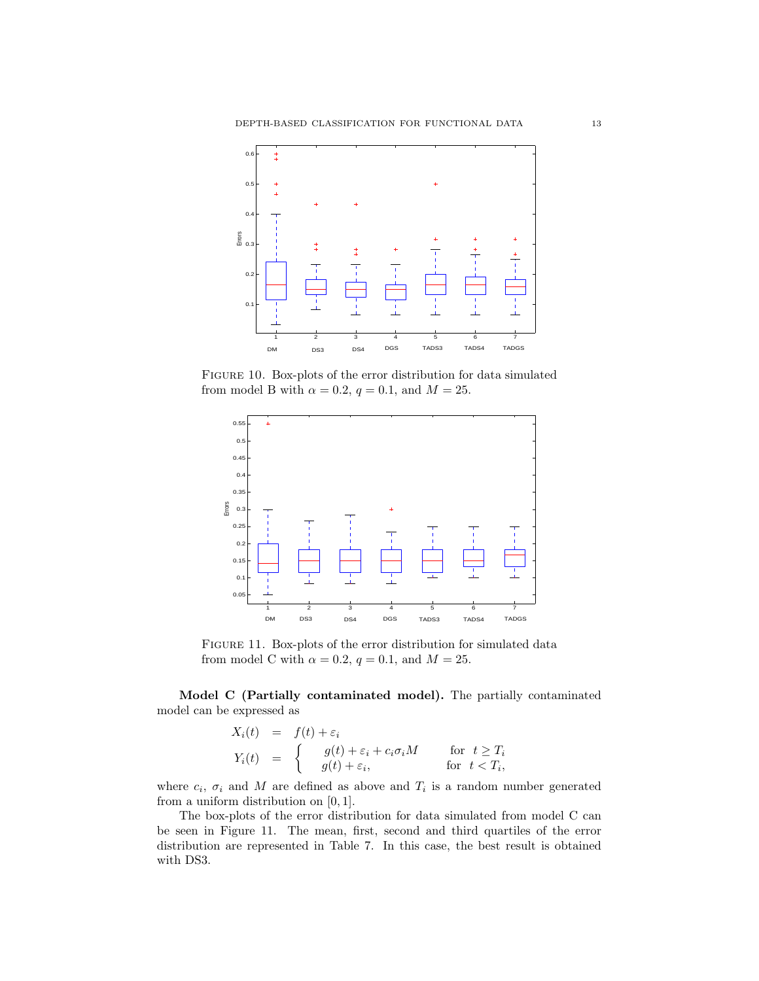

Figure 10. Box-plots of the error distribution for data simulated from model B with  $\alpha = 0.2$ ,  $q = 0.1$ , and  $M = 25$ .



Figure 11. Box-plots of the error distribution for simulated data from model C with  $\alpha = 0.2$ ,  $q = 0.1$ , and  $M = 25$ .

Model C (Partially contaminated model). The partially contaminated model can be expressed as

$$
X_i(t) = f(t) + \varepsilon_i
$$
  
\n
$$
Y_i(t) = \begin{cases} g(t) + \varepsilon_i + c_i \sigma_i M & \text{for } t \ge T_i \\ g(t) + \varepsilon_i, & \text{for } t < T_i, \end{cases}
$$

where  $c_i$ ,  $\sigma_i$  and M are defined as above and  $T_i$  is a random number generated from a uniform distribution on  $[0, 1]$ .

The box-plots of the error distribution for data simulated from model C can be seen in Figure 11. The mean, first, second and third quartiles of the error distribution are represented in Table 7. In this case, the best result is obtained with DS3.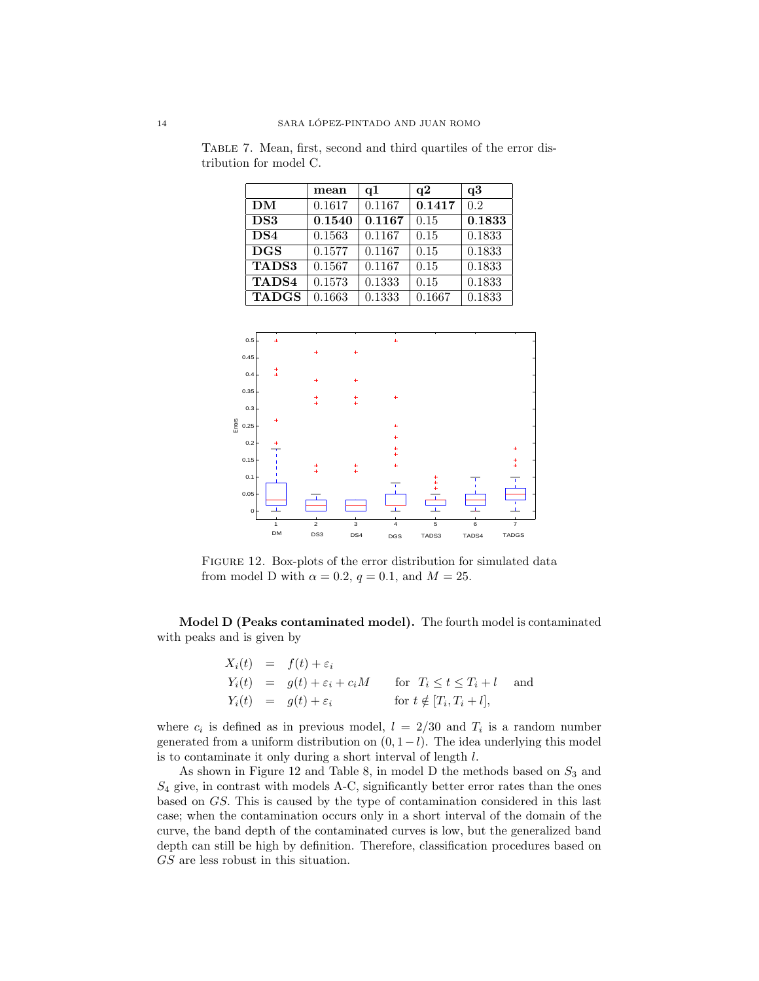|                 | mean   | q1     | q2     | q3     |
|-----------------|--------|--------|--------|--------|
| <b>DM</b>       | 0.1617 | 0.1167 | 0.1417 | 0.2    |
| DS3             | 0.1540 | 0.1167 | 0.15   | 0.1833 |
| DS <sub>4</sub> | 0.1563 | 0.1167 | 0.15   | 0.1833 |
| <b>DGS</b>      | 0.1577 | 0.1167 | 0.15   | 0.1833 |
| <b>TADS3</b>    | 0.1567 | 0.1167 | 0.15   | 0.1833 |
| TADS4           | 0.1573 | 0.1333 | 0.15   | 0.1833 |
| <b>TADGS</b>    | 0.1663 | 0.1333 | 0.1667 | 0.1833 |

Table 7. Mean, first, second and third quartiles of the error distribution for model C.



Figure 12. Box-plots of the error distribution for simulated data from model D with  $\alpha = 0.2$ ,  $q = 0.1$ , and  $M = 25$ .

Model D (Peaks contaminated model). The fourth model is contaminated with peaks and is given by

$$
X_i(t) = f(t) + \varepsilon_i
$$
  
\n
$$
Y_i(t) = g(t) + \varepsilon_i + c_i M \quad \text{for } T_i \le t \le T_i + l \text{ and}
$$
  
\n
$$
Y_i(t) = g(t) + \varepsilon_i \quad \text{for } t \notin [T_i, T_i + l],
$$

where  $c_i$  is defined as in previous model,  $l = 2/30$  and  $T_i$  is a random number generated from a uniform distribution on  $(0, 1-l)$ . The idea underlying this model is to contaminate it only during a short interval of length l.

As shown in Figure 12 and Table 8, in model D the methods based on  $S_3$  and  $S_4$  give, in contrast with models A-C, significantly better error rates than the ones based on GS. This is caused by the type of contamination considered in this last case; when the contamination occurs only in a short interval of the domain of the curve, the band depth of the contaminated curves is low, but the generalized band depth can still be high by definition. Therefore, classification procedures based on GS are less robust in this situation.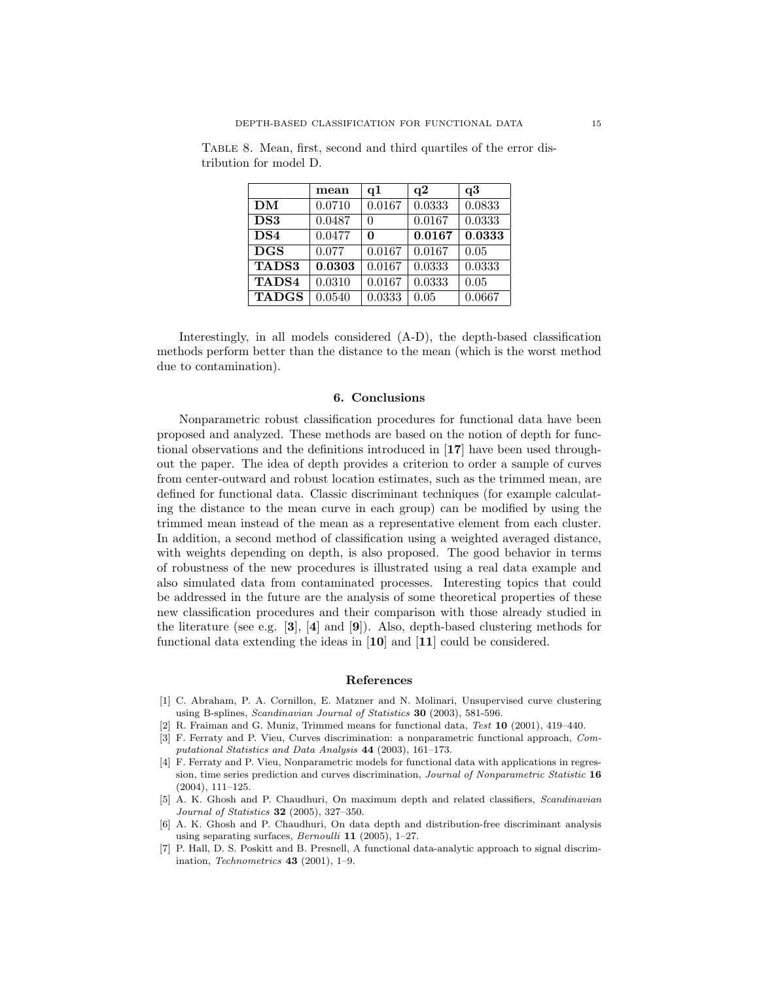|                 | mean   | q1     | q2     | q3     |
|-----------------|--------|--------|--------|--------|
| DM              | 0.0710 | 0.0167 | 0.0333 | 0.0833 |
| DS3             | 0.0487 | 0      | 0.0167 | 0.0333 |
| DS <sub>4</sub> | 0.0477 | 0      | 0.0167 | 0.0333 |
| <b>DGS</b>      | 0.077  | 0.0167 | 0.0167 | 0.05   |
| <b>TADS3</b>    | 0.0303 | 0.0167 | 0.0333 | 0.0333 |
| TADS4           | 0.0310 | 0.0167 | 0.0333 | 0.05   |
| <b>TADGS</b>    | 0.0540 | 0.0333 | 0.05   | 0.0667 |

Table 8. Mean, first, second and third quartiles of the error distribution for model D.

Interestingly, in all models considered (A-D), the depth-based classification methods perform better than the distance to the mean (which is the worst method due to contamination).

#### 6. Conclusions

Nonparametric robust classification procedures for functional data have been proposed and analyzed. These methods are based on the notion of depth for functional observations and the definitions introduced in [17] have been used throughout the paper. The idea of depth provides a criterion to order a sample of curves from center-outward and robust location estimates, such as the trimmed mean, are defined for functional data. Classic discriminant techniques (for example calculating the distance to the mean curve in each group) can be modified by using the trimmed mean instead of the mean as a representative element from each cluster. In addition, a second method of classification using a weighted averaged distance, with weights depending on depth, is also proposed. The good behavior in terms of robustness of the new procedures is illustrated using a real data example and also simulated data from contaminated processes. Interesting topics that could be addressed in the future are the analysis of some theoretical properties of these new classification procedures and their comparison with those already studied in the literature (see e.g.  $[3]$ ,  $[4]$  and  $[9]$ ). Also, depth-based clustering methods for functional data extending the ideas in [10] and [11] could be considered.

#### References

- [1] C. Abraham, P. A. Cornillon, E. Matzner and N. Molinari, Unsupervised curve clustering using B-splines, Scandinavian Journal of Statistics 30 (2003), 581-596.
- [2] R. Fraiman and G. Muniz, Trimmed means for functional data, Test 10 (2001), 419–440.
- [3] F. Ferraty and P. Vieu, Curves discrimination: a nonparametric functional approach, Computational Statistics and Data Analysis 44 (2003), 161-173.
- [4] F. Ferraty and P. Vieu, Nonparametric models for functional data with applications in regression, time series prediction and curves discrimination, Journal of Nonparametric Statistic 16 (2004), 111–125.
- [5] A. K. Ghosh and P. Chaudhuri, On maximum depth and related classifiers, Scandinavian Journal of Statistics 32 (2005), 327–350.
- [6] A. K. Ghosh and P. Chaudhuri, On data depth and distribution-free discriminant analysis using separating surfaces, Bernoulli 11 (2005), 1–27.
- [7] P. Hall, D. S. Poskitt and B. Presnell, A functional data-analytic approach to signal discrimination, Technometrics 43 (2001), 1–9.